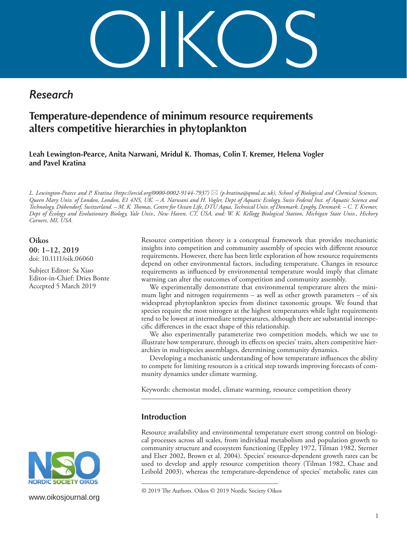OIKOS

## *Research*

# **Temperature-dependence of minimum resource requirements alters competitive hierarchies in phytoplankton**

**Leah Lewington-Pearce, Anita Narwani, Mridul K. Thomas, Colin T. Kremer, Helena Vogler and Pavel Kratina**

*L. Lewington-Pearce and P. Kratina (https://orcid.org/0000-0002-9144-7937) (p.kratina@qmul.ac.uk), School of Biological and Chemical Sciences, Queen Mary Univ. of London, London, E1 4NS, UK. – A. Narwani and H. Vogler, Dept of Aquatic Ecology, Swiss Federal Inst. of Aquatic Science and Technology, Dübendorf, Switzerland. – M. K. Thomas, Centre for Ocean Life, DTU Aqua, Technical Univ. of Denmark, Lyngby, Denmark. – C. T. Kremer, Dept of Ecology and Evolutionary Biology, Yale Univ., New Haven, CT, USA, and: W. K. Kellogg Biological Station, Michigan State Univ., Hickory Corners, MI, USA.*

**Oikos 00: 1–12, 2019** doi: 10.1111/oik.06060

Subject Editor: Sa Xiao Editor-in-Chief: Dries Bonte Accepted 5 March 2019



www.oikosjournal.org

Resource competition theory is a conceptual framework that provides mechanistic insights into competition and community assembly of species with different resource requirements. However, there has been little exploration of how resource requirements depend on other environmental factors, including temperature. Changes in resource requirements as influenced by environmental temperature would imply that climate warming can alter the outcomes of competition and community assembly.

We experimentally demonstrate that environmental temperature alters the minimum light and nitrogen requirements – as well as other growth parameters – of six widespread phytoplankton species from distinct taxonomic groups. We found that species require the most nitrogen at the highest temperatures while light requirements tend to be lowest at intermediate temperatures, although there are substantial interspecific differences in the exact shape of this relationship.

We also experimentally parameterize two competition models, which we use to illustrate how temperature, through its effects on species' traits, alters competitive hierarchies in multispecies assemblages, determining community dynamics.

Developing a mechanistic understanding of how temperature influences the ability to compete for limiting resources is a critical step towards improving forecasts of community dynamics under climate warming.

Keywords: chemostat model, climate warming, resource competition theory

## **Introduction**

Resource availability and environmental temperature exert strong control on biological processes across all scales, from individual metabolism and population growth to community structure and ecosystem functioning (Eppley 1972, Tilman 1982, Sterner and Elser 2002, Brown et al. 2004). Species' resource-dependent growth rates can be used to develop and apply resource competition theory (Tilman 1982, Chase and Leibold 2003), whereas the temperature-dependence of species' metabolic rates can

<sup>––––––––––––––––––––––––––––––––––––––––</sup> © 2019 The Authors. Oikos © 2019 Nordic Society Oikos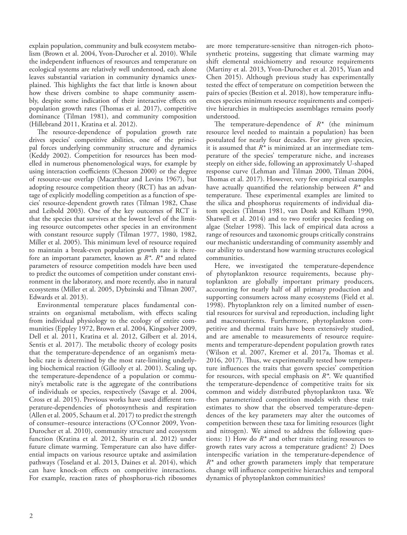explain population, community and bulk ecosystem metabolism (Brown et al. 2004, Yvon-Durocher et al. 2010). While the independent influences of resources and temperature on ecological systems are relatively well understood, each alone leaves substantial variation in community dynamics unexplained. This highlights the fact that little is known about how these drivers combine to shape community assembly, despite some indication of their interactive effects on population growth rates (Thomas et al. 2017), competitive dominance (Tilman 1981), and community composition (Hillebrand 2011, Kratina et al. 2012).

The resource-dependence of population growth rate drives species' competitive abilities, one of the principal forces underlying community structure and dynamics (Keddy 2002). Competition for resources has been modelled in numerous phenomenological ways, for example by using interaction coefficients (Chesson 2000) or the degree of resource-use overlap (Macarthur and Levins 1967), but adopting resource competition theory (RCT) has an advantage of explicitly modelling competition as a function of species' resource-dependent growth rates (Tilman 1982, Chase and Leibold 2003). One of the key outcomes of RCT is that the species that survives at the lowest level of the limiting resource outcompetes other species in an environment with constant resource supply (Tilman 1977, 1980, 1982, Miller et al. 2005). This minimum level of resource required to maintain a break-even population growth rate is therefore an important parameter, known as *R\**. *R\** and related parameters of resource competition models have been used to predict the outcomes of competition under constant environment in the laboratory, and more recently, also in natural ecosystems (Miller et al. 2005, Dybzinski and Tilman 2007, Edwards et al. 2013).

Environmental temperature places fundamental constraints on organismal metabolism, with effects scaling from individual physiology to the ecology of entire communities (Eppley 1972, Brown et al. 2004, Kingsolver 2009, Dell et al. 2011, Kratina et al. 2012, Gilbert et al. 2014, Sentis et al. 2017). The metabolic theory of ecology posits that the temperature-dependence of an organism's metabolic rate is determined by the most rate-limiting underlying biochemical reaction (Gillooly et al. 2001). Scaling up, the temperature-dependence of a population or community's metabolic rate is the aggregate of the contributions of individuals or species, respectively (Savage et al. 2004, Cross et al. 2015). Previous works have used different temperature-dependencies of photosynthesis and respiration (Allen et al. 2005, Schaum et al. 2017) to predict the strength of consumer–resource interactions (O'Connor 2009, Yvon-Durocher et al. 2010), community structure and ecosystem function (Kratina et al. 2012, Shurin et al. 2012) under future climate warming. Temperature can also have differential impacts on various resource uptake and assimilation pathways (Toseland et al. 2013, Daines et al. 2014), which can have knock-on effects on competitive interactions. For example, reaction rates of phosphorus-rich ribosomes

are more temperature-sensitive than nitrogen-rich photosynthetic proteins, suggesting that climate warming may shift elemental stoichiometry and resource requirements (Martiny et al. 2013, Yvon-Durocher et al. 2015, Yuan and Chen 2015). Although previous study has experimentally tested the effect of temperature on competition between the pairs of species (Bestion et al. 2018), how temperature influences species minimum resource requirements and competitive hierarchies in multispecies assemblages remains poorly understood.

The temperature-dependence of *R\** (the minimum resource level needed to maintain a population) has been postulated for nearly four decades. For any given species, it is assumed that *R\** is minimized at an intermediate temperature of the species' temperature niche, and increases steeply on either side, following an approximately U-shaped response curve (Lehman and Tilman 2000, Tilman 2004, Thomas et al. 2017). However, very few empirical examples have actually quantified the relationship between *R\** and temperature. These experimental examples are limited to the silica and phosphorus requirements of individual diatom species (Tilman 1981, van Donk and Kilham 1990, Shatwell et al. 2014) and to two rotifer species feeding on algae (Stelzer 1998). This lack of empirical data across a range of resources and taxonomic groups critically constrains our mechanistic understanding of community assembly and our ability to understand how warming structures ecological communities.

Here, we investigated the temperature-dependence of phytoplankton resource requirements, because phytoplankton are globally important primary producers, accounting for nearly half of all primary production and supporting consumers across many ecosystems (Field et al. 1998). Phytoplankton rely on a limited number of essential resources for survival and reproduction, including light and macronutrients. Furthermore, phytoplankton competitive and thermal traits have been extensively studied, and are amenable to measurements of resource requirements and temperature-dependent population growth rates (Wilson et al. 2007, Kremer et al. 2017a, Thomas et al. 2016, 2017). Thus, we experimentally tested how temperature influences the traits that govern species' competition for resources, with special emphasis on *R\**. We quantified the temperature-dependence of competitive traits for six common and widely distributed phytoplankton taxa. We then parameterized competition models with these trait estimates to show that the observed temperature-dependences of the key parameters may alter the outcomes of competition between these taxa for limiting resources (light and nitrogen). We aimed to address the following questions: 1) How do *R\** and other traits relating resources to growth rates vary across a temperature gradient? 2) Does interspecific variation in the temperature-dependence of *R\** and other growth parameters imply that temperature change will influence competitive hierarchies and temporal dynamics of phytoplankton communities?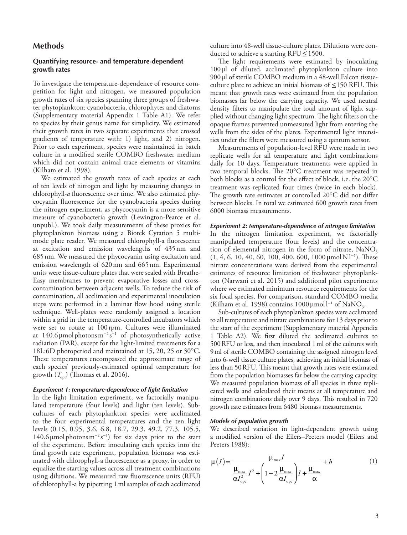## **Methods**

### **Quantifying resource- and temperature-dependent growth rates**

To investigate the temperature-dependence of resource competition for light and nitrogen, we measured population growth rates of six species spanning three groups of freshwater phytoplankton: cyanobacteria, chlorophytes and diatoms (Supplementary material Appendix 1 Table A1). We refer to species by their genus name for simplicity. We estimated their growth rates in two separate experiments that crossed gradients of temperature with: 1) light, and 2) nitrogen. Prior to each experiment, species were maintained in batch culture in a modified sterile COMBO freshwater medium which did not contain animal trace elements or vitamins (Kilham et al. 1998).

We estimated the growth rates of each species at each of ten levels of nitrogen and light by measuring changes in chlorophyll-*a* fluorescence over time. We also estimated phycocyanin fluorescence for the cyanobacteria species during the nitrogen experiment, as phycocyanin is a more sensitive measure of cyanobacteria growth (Lewington-Pearce et al. unpubl.). We took daily measurements of these proxies for phytoplankton biomass using a Biotek Cytation 5 multimode plate reader. We measured chlorophyll-a fluorescence at excitation and emission wavelengths of 435nm and 685nm. We measured the phycocyanin using excitation and emission wavelength of 620nm and 665nm. Experimental units were tissue-culture plates that were sealed with Breathe-Easy membranes to prevent evaporative losses and crosscontamination between adjacent wells. To reduce the risk of contamination, all acclimation and experimental inoculation steps were performed in a laminar flow hood using sterile technique. Well-plates were randomly assigned a location within a grid in the temperature-controlled incubators which were set to rotate at 100 rpm. Cultures were illuminated at 140.6 µmol photons  $m^{-2} s^{-1}$  of photosynthetically active radiation (PAR), except for the light-limited treatments for a 18L:6D photoperiod and maintained at 15, 20, 25 or 30°C. These temperatures encompassed the approximate range of each species' previously-estimated optimal temperature for growth  $(T_{\text{opt}})$  (Thomas et al. 2016).

#### *Experiment 1: temperature-dependence of light limitation*

In the light limitation experiment, we factorially manipulated temperature (four levels) and light (ten levels). Subcultures of each phytoplankton species were acclimated to the four experimental temperatures and the ten light levels (0.15, 0.95, 3.6, 6.8, 18.7, 29.3, 49.2, 77.3, 105.5, 140.6 µmol photons  $m^{-2} s^{-1}$ ) for six days prior to the start of the experiment. Before inoculating each species into the final growth rate experiment, population biomass was estimated with chlorophyll-a fluorescence as a proxy, in order to equalize the starting values across all treatment combinations using dilutions. We measured raw fluorescence units (RFU) of chlorophyll-a by pipetting 1ml samples of each acclimated

culture into 48-well tissue-culture plates. Dilutions were conducted to achieve a starting  $RFU \le 1500$ .

The light requirements were estimated by inoculating 100μl of diluted, acclimated phytoplankton culture into 900μl of sterile COMBO medium in a 48-well Falcon tissueculture plate to achieve an initial biomass of ≤150 RFU. This meant that growth rates were estimated from the population biomasses far below the carrying capacity. We used neutral density filters to manipulate the total amount of light supplied without changing light spectrum. The light filters on the opaque frames prevented unmeasured light from entering the wells from the sides of the plates. Experimental light intensities under the filters were measured using a qantum sensor.

Measurements of population-level RFU were made in two replicate wells for all temperature and light combinations daily for 10 days. Temperature treatments were applied in two temporal blocks. The 20°C treatment was repeated in both blocks as a control for the effect of block, i.e. the 20°C treatment was replicated four times (twice in each block). The growth rate estimates at controlled 20°C did not differ between blocks. In total we estimated 600 growth rates from 6000 biomass measurements.

#### *Experiment 2: temperature-dependence of nitrogen limitation*

In the nitrogen limitation experiment, we factorially manipulated temperature (four levels) and the concentration of elemental nitrogen in the form of nitrate,  $NaNO<sub>3</sub>$  $(1, 4, 6, 10, 40, 60, 100, 400, 600, 1000 \mu \text{mol N} \cdot \text{m}$ . These nitrate concentrations were derived from the experimental estimates of resource limitation of freshwater phytoplankton (Narwani et al. 2015) and additional pilot experiments where we estimated minimum resource requirements for the six focal species. For comparison, standard COMBO media (Kilham et al. 1998) contains  $1000 \,\mu\text{mol}^{-1}$  of NaNO<sub>3</sub>.

Sub-cultures of each phytoplankton species were acclimated to all temperature and nitrate combinations for 13 days prior to the start of the experiment (Supplementary material Appendix 1 Table A2). We first diluted the acclimated cultures to 500RFU or less, and then inoculated 1ml of the cultures with 9ml of sterile COMBO containing the assigned nitrogen level into 6-well tissue culture plates, achieving an initial biomass of less than 50RFU. This meant that growth rates were estimated from the population biomasses far below the carrying capacity. We measured population biomass of all species in three replicated wells and calculated their means at all temperature and nitrogen combinations daily over 9 days. This resulted in 720 growth rate estimates from 6480 biomass measurements.

#### *Models of population growth*

We described variation in light-dependent growth using a modified version of the Eilers–Peeters model (Eilers and Peeters 1988):

$$
\mu(I) = \frac{\mu_{\text{max}}I}{\frac{\mu_{\text{max}}}{\alpha I_{\text{opt}}^2}I^2 + \left(1 - 2\frac{\mu_{\text{max}}}{\alpha I_{\text{opt}}}\right)I + \frac{\mu_{\text{max}}}{\alpha}} \tag{1}
$$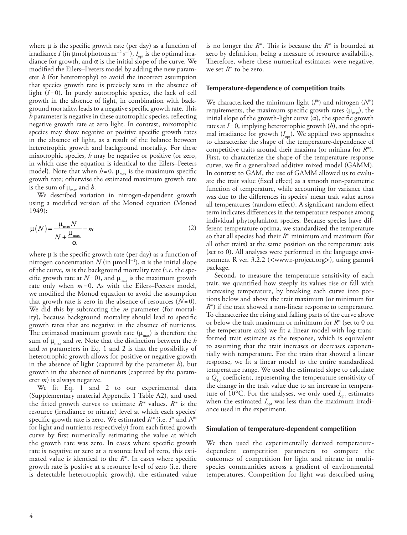where  $\mu$  is the specific growth rate (per day) as a function of irradiance *I* (in μmol photons m<sup>−2</sup> s<sup>−1</sup>),  $I_{opt}$  is the optimal irradiance for growth, and  $\alpha$  is the initial slope of the curve. We modified the Eilers–Peeters model by adding the new parameter *h* (for heterotrophy) to avoid the incorrect assumption that species growth rate is precisely zero in the absence of light  $(I=0)$ . In purely autotrophic species, the lack of cell growth in the absence of light, in combination with background mortality, leads to a negative specific growth rate. This *h* parameter is negative in these autotrophic species, reflecting negative growth rate at zero light. In contrast, mixotrophic species may show negative or positive specific growth rates in the absence of light, as a result of the balance between heterotrophic growth and background mortality. For these mixotrophic species, *h* may be negative or positive (or zero, in which case the equation is identical to the Eilers–Peeters model). Note that when  $h = 0$ ,  $\mu_{\text{max}}$  is the maximum specific growth rate; otherwise the estimated maximum growth rate is the sum of  $\mu_{\text{max}}$  and *h*.

We described variation in nitrogen-dependent growth using a modified version of the Monod equation (Monod 1949):

$$
\mu(N) = \frac{\mu_{\text{max}} N}{N + \frac{\mu_{\text{max}}}{\alpha}} - m
$$
\n(2)

where  $\mu$  is the specific growth rate (per day) as a function of nitrogen concentration  $N$  (in  $\mu$ mol  $l^{-1}$ ), α is the initial slope of the curve, *m* is the background mortality rate (i.e. the specific growth rate at  $N=0$ ), and  $\mu_{\text{max}}$  is the maximum growth rate only when *m*= 0. As with the Eilers–Peeters model, we modified the Monod equation to avoid the assumption that growth rate is zero in the absence of resources  $(N=0)$ . We did this by subtracting the *m* parameter (for mortality), because background mortality should lead to specific growth rates that are negative in the absence of nutrients. The estimated maximum growth rate  $(\mu_{\text{max}})$  is therefore the sum of μmax and *m*. Note that the distinction between the *h* and *m* parameters in Eq. 1 and 2 is that the possibility of heterotrophic growth allows for positive or negative growth in the absence of light (captured by the parameter *h*), but growth in the absence of nutrients (captured by the parameter *m*) is always negative.

We fit Eq. 1 and 2 to our experimental data (Supplementary material Appendix 1 Table A2), and used the fitted growth curves to estimate *R\** values. *R\** is the resource (irradiance or nitrate) level at which each species' specific growth rate is zero. We estimated *R\** (i.e. *I*\* and *N*\* for light and nutrients respectively) from each fitted growth curve by first numerically estimating the value at which the growth rate was zero. In cases where specific growth rate is negative or zero at a resource level of zero, this estimated value is identical to the *R*\*. In cases where specific growth rate is positive at a resource level of zero (i.e. there is detectable heterotrophic growth), the estimated value

is no longer the *R*\*. This is because the *R*\* is bounded at zero by definition, being a measure of resource availability. Therefore, where these numerical estimates were negative, we set *R*\* to be zero.

#### **Temperature-dependence of competition traits**

We characterized the minimum light (*I*\*) and nitrogen (*N*\*) requirements, the maximum specific growth rates  $(\mu_{\text{max}})$ , the initial slope of the growth-light curve  $(\alpha)$ , the specific growth rates at *I*=0, implying heterotrophic growth (*h*), and the optimal irradiance for growth  $(I_{\text{out}})$ . We applied two approaches to characterize the shape of the temperature-dependence of competitive traits around their maxima (or minima for *R*\*). First, to characterize the shape of the temperature response curve, we fit a generalized additive mixed model (GAMM). In contrast to GAM, the use of GAMM allowed us to evaluate the trait value (fixed effect) as a smooth non-parametric function of temperature, while accounting for variance that was due to the differences in species' mean trait value across all temperatures (random effect). A significant random effect term indicates differences in the temperature response among individual phytoplankton species. Because species have different temperature optima, we standardized the temperature so that all species had their *R*\* minimum and maximum (for all other traits) at the same position on the temperature axis (set to 0). All analyses were performed in the language environment R ver. 3.2.2 (<www.r-project.org>), using gamm4 package.

Second, to measure the temperature sensitivity of each trait, we quantified how steeply its values rise or fall with increasing temperature, by breaking each curve into portions below and above the trait maximum (or minimum for *R*<sup>\*</sup>) if the trait showed a non-linear response to temperature. To characterize the rising and falling parts of the curve above or below the trait maximum or minimum for *R*\* (set to 0 on the temperature axis) we fit a linear model with log-transformed trait estimate as the response, which is equivalent to assuming that the trait increases or decreases exponentially with temperature. For the traits that showed a linear response, we fit a linear model to the entire standardized temperature range. We used the estimated slope to calculate a *Q*10 coefficient, representing the temperature sensitivity of the change in the trait value due to an increase in temperature of 10 $^{\circ}$ C. For the analyses, we only used  $I_{\text{opt}}$  estimates when the estimated  $I_{\text{opt}}$  was less than the maximum irradiance used in the experiment.

#### **Simulation of temperature-dependent competition**

We then used the experimentally derived temperaturedependent competition parameters to compare the outcomes of competition for light and nitrate in multispecies communities across a gradient of environmental temperatures. Competition for light was described using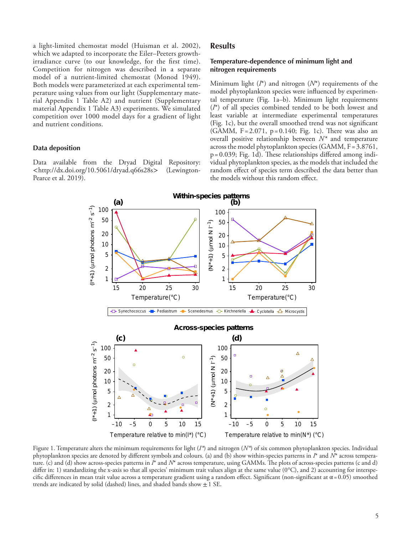a light-limited chemostat model (Huisman et al. 2002), which we adapted to incorporate the Eiler–Peeters growthirradiance curve (to our knowledge, for the first time). Competition for nitrogen was described in a separate model of a nutrient-limited chemostat (Monod 1949). Both models were parameterized at each experimental temperature using values from our light (Supplementary material Appendix 1 Table A2) and nutrient (Supplementary material Appendix 1 Table A3) experiments. We simulated competition over 1000 model days for a gradient of light and nutrient conditions.

#### **Data deposition**

Data available from the Dryad Digital Repository:<br>
<http://dx.doi.org/10.5061/dryad.q66s28s> (Lewington- $\langle \text{http://dx.doi.org/10.5061/dryad.q66s28s}\rangle$ Pearce et al. 2019).

## **Results**

### **Temperature-dependence of minimum light and nitrogen requirements**

Minimum light (*I*\*) and nitrogen (*N*\*) requirements of the model phytoplankton species were influenced by experimental temperature (Fig. 1a–b). Minimum light requirements (*I*\*) of all species combined tended to be both lowest and least variable at intermediate experimental temperatures (Fig. 1c), but the overall smoothed trend was not significant (GAMM,  $F = 2.071$ ,  $p = 0.140$ ; Fig. 1c). There was also an overall positive relationship between *N\** and temperature across the model phytoplankton species (GAMM,  $F = 3.8761$ , p=0.039; Fig. 1d). These relationships differed among individual phytoplankton species, as the models that included the random effect of species term described the data better than the models without this random effect.



Figure 1. Temperature alters the minimum requirements for light (*I\**) and nitrogen (*N\**) of six common phytoplankton species. Individual phytoplankton species are denoted by different symbols and colours. (a) and (b) show within-species patterns in *I*\* and *N*\* across temperature. (c) and (d) show across-species patterns in *I*\* and *N*\* across temperature, using GAMMs. The plots of across-species patterns (c and d) differ in: 1) standardizing the x-axis so that all species' minimum trait values align at the same value (0°C), and 2) accounting for interspecific differences in mean trait value across a temperature gradient using a random effect. Significant (non-significant at  $\alpha$  = 0.05) smoothed trends are indicated by solid (dashed) lines, and shaded bands show  $\pm 1$  SE.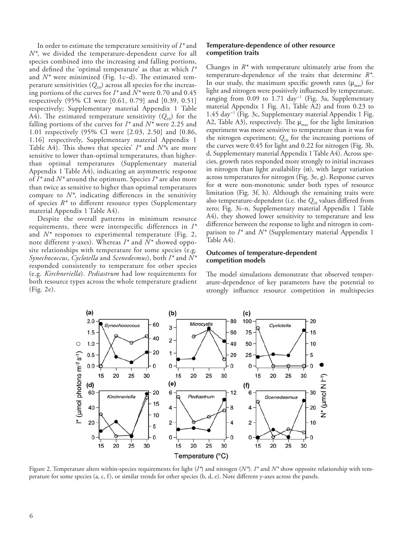In order to estimate the temperature sensitivity of *I\** and *N\**, we divided the temperature-dependent curve for all species combined into the increasing and falling portions, and defined the 'optimal temperature' as that at which *I\** and *N\** were minimized (Fig. 1c–d). The estimated temperature sensitivities  $(Q_{10})$  across all species for the increasing portions of the curves for *I\** and *N\** were 0.70 and 0.45 respectively (95% CI were [0.61, 0.79] and [0.39, 0.51] respectively; Supplementary material Appendix 1 Table A4). The estimated temperature sensitivity  $(Q_{10})$  for the falling portions of the curves for *I\** and *N\** were 2.25 and 1.01 respectively (95% CI were [2.03, 2.50] and [0.86, 1.16] respectively, Supplementary material Appendix 1 Table A4). This shows that species' *I\** and *N\**s are more sensitive to lower than-optimal temperatures, than higherthan optimal temperatures (Supplementary material Appendix 1 Table A4), indicating an asymmetric response of *I\** and *N\** around the optimum. Species *I\** are also more than twice as sensitive to higher than optimal temperatures compare to *N\**, indicating differences in the sensitivity of species *R\** to different resource types (Supplementary material Appendix 1 Table A4).

Despite the overall patterns in minimum resource requirements, there were interspecific differences in *I\** and *N\** responses to experimental temperature (Fig. 2, note different y-axes). Whereas *I\** and *N\** showed opposite relationships with temperature for some species (e.g. *Synechococcus*, *Cyclotella* and *Scenedesmus*), both *I\** and *N\** responded consistently to temperature for other species (e.g. *Kirchneriella*). *Pediastrum* had low requirements for both resource types across the whole temperature gradient (Fig. 2e).

#### **Temperature-dependence of other resource competition traits**

Changes in *R\** with temperature ultimately arise from the temperature-dependence of the traits that determine *R\**. In our study, the maximum specific growth rates  $(\mu_{\text{max}})$  for light and nitrogen were positively influenced by temperature, ranging from 0.09 to 1.71 day<sup>-1</sup> (Fig. 3a, Supplementary material Appendix 1 Fig. A1, Table A2) and from 0.23 to 1.45 day<sup>−</sup><sup>1</sup> (Fig. 3c, Supplementary material Appendix 1 Fig. A2, Table A3), respectively. The  $\mu_{\text{max}}$  for the light limitation experiment was more sensitive to temperature than it was for the nitrogen experiment;  $Q_{10}$  for the increasing portions of the curves were 0.45 for light and 0.22 for nitrogen (Fig. 3b, d, Supplementary material Appendix 1 Table A4). Across species, growth rates responded more strongly to initial increases in nitrogen than light availability  $(\alpha)$ , with larger variation across temperatures for nitrogen (Fig. 3e, g). Response curves for α were non-monotonic under both types of resource limitation (Fig. 3f, h). Although the remaining traits were also temperature-dependent (i.e. the  $Q_{10}$  values differed from zero; Fig. 3i–n, Supplementary material Appendix 1 Table A4), they showed lower sensitivity to temperature and less difference between the response to light and nitrogen in comparison to *I\** and *N\** (Supplementary material Appendix 1 Table A4).

#### **Outcomes of temperature-dependent competition models**

The model simulations demonstrate that observed temperature-dependence of key parameters have the potential to strongly influence resource competition in multispecies



Figure 2. Temperature alters within-species requirements for light (*I\**) and nitrogen (*N\**). *I\** and *N\** show opposite relationship with temperature for some species (a, c, f), or similar trends for other species (b, d, e). Note different y-axes across the panels.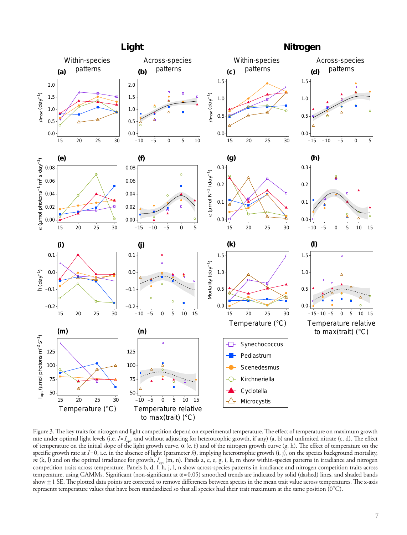

Figure 3. The key traits for nitrogen and light competition depend on experimental temperature. The effect of temperature on maximum growth rate under optimal light levels (i.e. *I*=*I*<sub>opt</sub>, and without adjusting for heterotrophic growth, if any) (a, b) and unlimited nitrate (c, d). The effect of temperature on the initial slope of the light growth curve,  $\alpha$  (e, f) and of the nitrogen growth curve (g, h). The effect of temperature on the specific growth rate at *I*=0, i.e. in the absence of light (parameter *h*), implying heterotrophic growth (i, j), on the species background mortality, *m* (k, l) and on the optimal irradiance for growth, *I*<sub>opt</sub> (m, n). Panels a, c, e, g, i, k, m show within-species patterns in irradiance and nitrogen competition traits across temperature. Panels b, d, f, h, j, l, n show across-species patterns in irradiance and nitrogen competition traits across temperature, using GAMMs. Significant (non-significant at α=0.05) smoothed trends are indicated by solid (dashed) lines, and shaded bands show  $\pm$  1 SE. The plotted data points are corrected to remove differences between species in the mean trait value across temperatures. The x-axis represents temperature values that have been standardized so that all species had their trait maximum at the same position (0°C).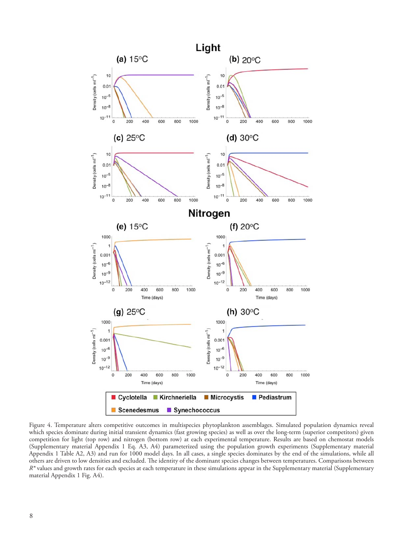

Figure 4. Temperature alters competitive outcomes in multispecies phytoplankton assemblages. Simulated population dynamics reveal which species dominate during initial transient dynamics (fast growing species) as well as over the long-term (superior competitors) given competition for light (top row) and nitrogen (bottom row) at each experimental temperature. Results are based on chemostat models (Supplementary material Appendix 1 Eq. A3, A4) parameterized using the population growth experiments (Supplementary material Appendix 1 Table A2, A3) and run for 1000 model days. In all cases, a single species dominates by the end of the simulations, while all others are driven to low densities and excluded. The identity of the dominant species changes between temperatures. Comparisons between *R*<sup>\*</sup> values and growth rates for each species at each temperature in these simulations appear in the Supplementary material (Supplementary material Appendix 1 Fig. A4).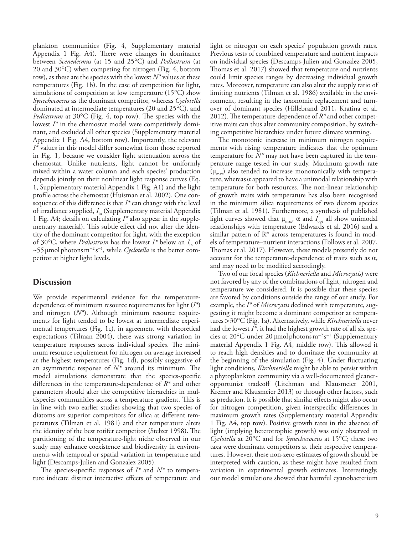plankton communities (Fig. 4, Supplementary material Appendix 1 Fig. A4). There were changes in dominance between *Scenedesmus* (at 15 and 25°C) and *Pediastrum* (at 20 and 30°C) when competing for nitrogen (Fig. 4, bottom row), as these are the species with the lowest *N\** values at these temperatures (Fig. 1b). In the case of competition for light, simulations of competition at low temperature (15°C) show *Synechococcus* as the dominant competitor, whereas *Cyclotella* dominated at intermediate temperatures (20 and 25°C), and *Pediastrum* at 30°C (Fig. 4, top row). The species with the lowest *I*<sup>\*</sup> in the chemostat model were competitively dominant, and excluded all other species (Supplementary material Appendix 1 Fig. A4, bottom row). Importantly, the relevant *I\** values in this model differ somewhat from those reported in Fig. 1, because we consider light attenuation across the chemostat. Unlike nutrients, light cannot be uniformly mixed within a water column and each species' production depends jointly on their nonlinear light response curves (Eq. 1, Supplementary material Appendix 1 Fig. A1) and the light profile across the chemostat (Huisman et al. 2002). One consequence of this difference is that *I\** can change with the level of irradiance supplied, *I*<sub>in</sub> (Supplementary material Appendix 1 Fig. A4; details on calculating *I\** also appear in the supplementary material). This subtle effect did not alter the identity of the dominant competitor for light, with the exception of 30°C, where *Pediastrum* has the lowest  $I^*$  below an  $I_{in}$  of ~55μmolphotonsm<sup>−</sup><sup>2</sup> s −1 , while *Cyclotella* is the better competitor at higher light levels.

## **Discussion**

We provide experimental evidence for the temperaturedependence of minimum resource requirements for light (*I\**) and nitrogen (*N\**). Although minimum resource requirements for light tended to be lowest at intermediate experimental tempertures (Fig. 1c), in agreement with theoretical expectations (Tilman 2004), there was strong variation in temperature responses across individual species. The minimum resource requirement for nitrogen on average increased at the highest temperatures (Fig. 1d), possibly suggestive of an asymmetric response of *N\** around its minimum. The model simulations demonstrate that the species-specific differences in the temperature-dependence of *R\** and other parameters should alter the competitive hierarchies in multispecies communities across a temperature gradient. This is in line with two earlier studies showing that two species of diatoms are superior competitors for silica at different temperatures (Tilman et al. 1981) and that temperature alters the identity of the best rotifer competitor (Stelzer 1998). The partitioning of the temperature-light niche observed in our study may enhance coexistence and biodiversity in environments with temporal or spatial variation in temperature and light (Descamps-Julien and Gonzalez 2005).

The species-specific responses of  $I^*$  and  $N^*$  to temperature indicate distinct interactive effects of temperature and light or nitrogen on each species' population growth rates. Previous tests of combined temperature and nutrient impacts on individual species (Descamps-Julien and Gonzalez 2005, Thomas et al. 2017) showed that temperature and nutrients could limit species ranges by decreasing individual growth rates. Moreover, temperature can also alter the supply ratio of limiting nutrients (Tilman et al. 1986) available in the environment, resulting in the taxonomic replacement and turnover of dominant species (Hillebrand 2011, Kratina et al. 2012). The temperature-dependence of *R\** and other competitive traits can thus alter community composition, by switching competitive hierarchies under future climate warming.

The monotonic increase in minimum nitrogen requirements with rising temperature indicates that the optimum temperature for *N\** may not have been captured in the temperature range tested in our study. Maximum growth rate  $(\mu_{\text{max}})$  also tended to increase monotonically with temperature, whereas  $\alpha$  appeared to have a unimodal relationship with temperature for both resources. The non-linear relationship of growth traits with temperature has also been recognised in the minimum silica requirements of two diatom species (Tilman et al. 1981). Furthermore, a synthesis of published light curves showed that  $\mu_{\text{max}}$ ,  $\alpha$  and  $I_{\text{opt}}$  all show unimodal relationships with temperature (Edwards et al. 2016) and a similar pattern of  $R^*$  across temperatures is found in models of temperature–nutrient interactions (Follows et al. 2007, Thomas et al. 2017). However, these models presently do not account for the temperature-dependence of traits such as  $\alpha$ , and may need to be modified accordingly.

Two of our focal species (*Kichneriella* and *Microcystis*) were not favored by any of the combinations of light, nitrogen and temperature we considered. It is possible that these species are favored by conditions outside the range of our study. For example, the *I\** of *Microcystis* declined with temperature, suggesting it might become a dominant competitor at temperatures >30°C (Fig. 1a). Alternatively, while *Kirchneriella* never had the lowest *I\**, it had the highest growth rate of all six species at 20°C under 20 μmol photons m<sup>-2</sup>s<sup>-1</sup> (Supplementary material Appendix 1 Fig. A4, middle row). This allowed it to reach high densities and to dominate the community at the beginning of the simulation (Fig. 4). Under fluctuating light conditions, *Kirchneriella* might be able to persist within a phytoplankton community via a well-documented gleaneropportunist tradeoff (Litchman and Klausmeier 2001, Kremer and Klausmeier 2013) or through other factors, such as predation. It is possible that similar effects might also occur for nitrogen competition, given interspecific differences in maximum growth rates (Supplementary material Appendix 1 Fig. A4, top row). Positive growth rates in the absence of light (implying heterotrophic growth) was only observed in *Cyclotella* at 20°C and for *Synechococcus* at 15°C; these two taxa were dominant competitors at their respective temperatures. However, these non-zero estimates of growth should be interpreted with caution, as these might have resulted from variation in experimental growth estimates. Interestingly, our model simulations showed that harmful cyanobacterium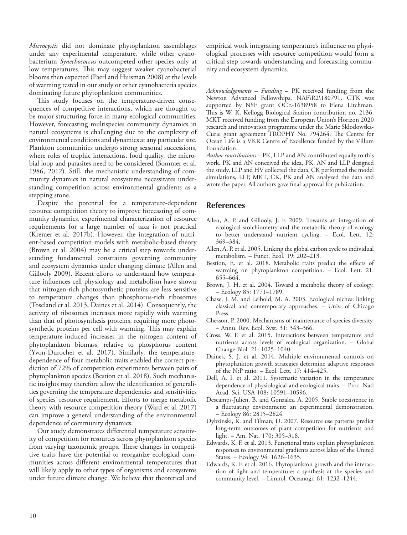*Microcystis* did not dominate phytoplankton assemblages under any experimental temperature, while other cyanobacterium *Synechococcus* outcompeted other species only at low temperatures. This may suggest weaker cyanobacterial blooms then expected (Paerl and Huisman 2008) at the levels of warming tested in our study or other cyanobacteria species dominating future phytoplankton communities.

This study focuses on the temperature-driven consequences of competitive interactions, which are thought to be major structuring force in many ecological communities. However, forecasting multispecies community dynamics in natural ecosystems is challenging due to the complexity of environmental conditions and dynamics at any particular site. Plankton communities undergo strong seasonal successions, where roles of trophic interactions, food quality, the microbial loop and parasites need to be considered (Sommer et al. 1986, 2012). Still, the mechanistic understanding of community dynamics in natural ecosystems necessitates understanding competition across environmental gradients as a stepping stone.

Despite the potential for a temperature-dependent resource competition theory to improve forecasting of community dynamics, experimental characterization of resource requirements for a large number of taxa is not practical (Kremer et al. 2017b). However, the integration of nutrient-based competition models with metabolic-based theory (Brown et al. 2004) may be a critical step towards understanding fundamental constraints governing community and ecosystem dynamics under changing climate (Allen and Gillooly 2009). Recent efforts to understand how temperature influences cell physiology and metabolism have shown that nitrogen-rich photosynthetic proteins are less sensitive to temperature changes than phosphorus-rich ribosomes (Toseland et al. 2013, Daines et al. 2014). Consequently, the activity of ribosomes increases more rapidly with warming than that of photosynthesis proteins, requiring more photosynthetic proteins per cell with warming. This may explain temperature-induced increases in the nitrogen content of phytoplankton biomass, relative to phosphorus content (Yvon-Durocher et al. 2017). Similarly, the temperaturedependence of four metabolic traits enabled the correct prediction of 72% of competition experiments between pairs of phytoplankton species (Bestion et al. 2018). Such mechanistic insights may therefore allow the identification of generalities governing the temperature dependencies and sensitivities of species' resource requirement. Efforts to merge metabolic theory with resource competition theory (Ward et al. 2017) can improve a general understanding of the environmental dependence of community dynamics.

Our study demonstrates differential temperature sensitivity of competition for resources across phytoplankton species from varying taxonomic groups. These changes in competitive traits have the potential to reorganize ecological communities across different environmental temperatures that will likely apply to other types of organisms and ecosystems under future climate change. We believe that theoretical and

empirical work integrating temperature's influence on physiological processes with resource competition would form a critical step towards understanding and forecasting community and ecosystem dynamics.

*Acknowledgements* – *Funding* – PK received funding from the Newton Advanced Fellowships, NAF\R2\180791. CTK was supported by NSF grant OCE-1638958 to Elena Litchman. This is W. K. Kellogg Biological Station contribution no. 2136. MKT received funding from the European Union's Horizon 2020 research and innovation programme under the Marie Skłodowska-Curie grant agreement TROPHY No. 794264. The Centre for Ocean Life is a VKR Centre of Excellence funded by the Villum Foundation.

*Author contributions* – PK, LLP and AN contributed equally to this work. PK and AN conceived the idea, PK, AN and LLP designed the study, LLP and HV collected the data, CK performed the model simulations, LLP, MKT, CK, PK and AN analyzed the data and wrote the paper. All authors gave final approval for publication.

## **References**

- Allen, A. P. and Gillooly, J. F. 2009. Towards an integration of ecological stoichiometry and the metabolic theory of ecology to better understand nutrient cycling. – Ecol. Lett. 12: 369–384.
- Allen, A. P. et al. 2005. Linking the global carbon cycle to individual metabolism. – Funct. Ecol. 19: 202–213.
- Bestion, E. et al. 2018. Metabolic traits predict the effects of warming on phytoplankton competition. – Ecol. Lett. 21: 655–664.
- Brown, J. H. et al. 2004. Toward a metabolic theory of ecology. – Ecology 85: 1771–1789.
- Chase, J. M. and Leibold, M. A. 2003. Ecological niches: linking classical and contemporary approaches. – Univ. of Chicago Press.
- Chesson, P. 2000. Mechanisms of maintenance of species diversity. – Annu. Rev. Ecol. Syst. 31: 343–366.
- Cross, W. F. et al. 2015. Interactions between temperature and nutrients across levels of ecological organization. – Global Change Biol. 21: 1025–1040.
- Daines, S. J. et al. 2014. Multiple environmental controls on phytoplankton growth strategies determine adaptive responses of the N:P ratio. – Ecol. Lett. 17: 414–425.
- Dell, A. I. et al. 2011. Systematic variation in the temperature dependence of physiological and ecological traits. – Proc. Natl Acad. Sci. USA 108: 10591–10596.
- Descamps-Julien, B. and Gonzalez, A. 2005. Stable coexistence in a fluctuating environment: an experimental demonstration. – Ecology 86: 2815–2824.
- Dybzinski, R. and Tilman, D. 2007. Resource use patterns predict long-term outcomes of plant competition for nutrients and light. – Am. Nat. 170: 305–318.
- Edwards, K. F. et al. 2013. Functional traits explain phytoplankton responses to environmental gradients across lakes of the United States. – Ecology 94: 1626–1635.
- Edwards, K. F. et al. 2016. Phytoplankton growth and the interaction of light and temperature: a synthesis at the species and community level. – Limnol. Oceanogr. 61: 1232–1244.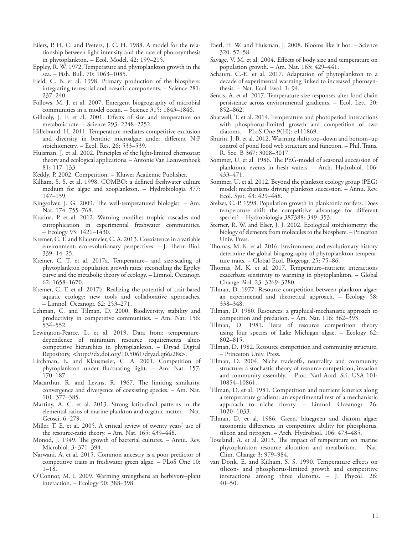- Eilers, P. H. C. and Peeters, J. C. H. 1988. A model for the relationship between light intensity and the rate of photosynthesis in phytoplankton. – Ecol. Model. 42: 199–215.
- Eppley, R. W. 1972. Temperature and phytoplankton growth in the sea. – Fish. Bull. 70: 1063–1085.
- Field, C. B. et al. 1998. Primary production of the biosphere: integrating terrestrial and oceanic components. – Science 281: 237–240.
- Follows, M. J. et al. 2007. Emergent biogeography of microbial communities in a model ocean. – Science 315: 1843–1846.
- Gillooly, J. F. et al. 2001. Effects of size and temperature on metabolic rate. – Science 293: 2248–2252.
- Hillebrand, H. 2011. Temperature mediates competitive exclusion and diversity in benthic microalgae under different N:P stoichiometry. – Ecol. Res. 26: 533–539.
- Huisman, J. et al. 2002. Principles of the light-limited chemostat: theory and ecological applications. – Antonie Van Leeuwenhoek 81: 117–133.
- Keddy, P. 2002. Competition. Kluwer Academic Publisher.
- Kilham, S. S. et al. 1998. COMBO: a defined freshwater culture medium for algae and zooplankton. – Hydrobiologia 377: 147–159.
- Kingsolver, J. G. 2009. The well-temperatured biologist. Am. Nat. 174: 755–768.
- Kratina, P. et al. 2012. Warning modifies trophic cascades and eutrophication in experimental freshwater communities. – Ecology 93: 1421–1430.
- Kremer, C. T. and Klausmeier, C. A. 2013. Coexistence in a variable environment: eco-evolutionary perspectives. – J. Theor. Biol. 339: 14–25.
- Kremer, C. T. et al. 2017a. Temperature– and size-scaling of phytoplankton population growth rates: reconciling the Eppley curve and the metabolic theory of ecology. – Limnol. Oceanogr. 62: 1658–1670.
- Kremer, C. T. et al. 2017b. Realizing the potential of trait-based aquatic ecology: new tools and collaborative approaches. – Limnol. Oceanogr. 62: 253–271.
- Lehman, C. and Tilman, D. 2000. Biodiversity, stability and productivity in competitive communities. – Am. Nat. 156: 534–552.
- Lewington-Pearce, L. et al. 2019. Data from: temperaturedependence of minimum resource requirements alters competitive hierarchies in phytoplankton. – Dryad Digital Repository, <http://dx.doi.org/10.5061/dryad.q66s28s>.
- Litchman, E. and Klausmeier, C. A. 2001. Competition of phytoplankton under fluctuating light. – Am. Nat. 157: 170–187.
- Macarthur, R. and Levins, R. 1967. The limiting similarity, convergence and divergence of coexisting species. – Am. Nat. 101: 377–385.
- Martiny, A. C. et al. 2013. Strong latitudinal patterns in the elemental ratios of marine plankton and organic matter. – Nat. Geosci. 6: 279.
- Miller, T. E. et al. 2005. A critical review of twenty years' use of the resource-ratio theory. – Am. Nat. 165: 439–448.
- Monod, J. 1949. The growth of bacterial cultures. Annu. Rev. Microbiol. 3: 371–394.
- Narwani, A. et al. 2015. Common ancestry is a poor predictor of competitive traits in freshwater green algae. – PLoS One 10: 1–18.
- O'Connor, M. I. 2009. Warming strengthens an herbivore–plant interaction. – Ecology 90: 388–398.
- Paerl, H. W. and Huisman, J. 2008. Blooms like it hot. Science 320: 57–58.
- Savage, V. M. et al. 2004. Effects of body size and temperature on population growth. – Am. Nat. 163: 429–441.
- Schaum, C.-E. et al. 2017. Adaptation of phytoplankton to a decade of experimental warming linked to increased photosynthesis. – Nat. Ecol. Evol. 1: 94.
- Sentis, A. et al. 2017. Temperature-size responses alter food chain persistence across environmental gradients. – Ecol. Lett. 20: 852–862.
- Shatwell, T. et al. 2014. Temperature and photoperiod interactions with phosphorus-limited growth and competition of two diatoms. – PLoS One 9(10): e111869.
- Shurin, J. B. et al. 2012. Warming shifts top–down and bottom–up control of pond food web structure and function. – Phil. Trans. R. Soc. B 367: 3008–3017.
- Sommer, U. et al. 1986. The PEG-model of seasonal succession of planktonic events in fresh waters. – Arch. Hydrobiol. 106: 433–471.
- Sommer, U. et al. 2012. Beyond the plankton ecology group (PEG) model: mechanisms driving plankton succession. – Annu. Rev. Ecol. Syst. 43: 429–448.
- Stelzer, C.-P. 1998. Population growth in planktonic rotifers. Does temperature shift the competitive advantage for different species? – Hydrobiologia 387388: 349–353.
- Sterner, R. W. and Elser, J. J. 2002. Ecological stoichiometry: the biology of elements from molecules to the biosphere. – Princeton Univ. Press.
- Thomas, M. K. et al. 2016. Environment and evolutionary history determine the global biogeography of phytoplankton temperature traits. – Global Ecol. Biogeogr. 25: 75–86.
- Thomas, M. K. et al. 2017. Temperature–nutrient interactions exacerbate sensitivity to warming in phytoplankton. – Global Change Biol. 23: 3269–3280.
- Tilman, D. 1977. Resource competition between plankton algae: an experimental and theoretical approach. – Ecology 58: 338–348.
- Tilman, D. 1980. Resources: a graphical-mechanistic approach to competition and predation. – Am. Nat. 116: 362–393.
- Tilman, D. 1981. Tests of resource competition theory using four species of Lake Michigan algae. – Ecology 62: 802–815.
- Tilman, D. 1982. Resource competition and community structure. – Princeton Univ. Press.
- Tilman, D. 2004. Niche tradeoffs, neutrality and community structure: a stochastic theory of resource competition, invasion and community assembly. – Proc. Natl Acad. Sci. USA 101: 10854–10861.
- Tilman, D. et al. 1981. Competition and nutrient kinetics along a temperature gradient: an experimental test of a mechanistic approach to niche theory. – Limnol. Oceanogr. 26: 1020–1033.
- Tilman, D. et al. 1986. Green, bluegreen and diatom algae: taxonomic differences in competitive ability for phosphorus, silicon and nitrogen. – Arch. Hydrobiol. 106: 473–485.
- Toseland, A. et al. 2013. The impact of temperature on marine phytoplankton resource allocation and metabolism. – Nat. Clim. Change 3: 979–984.
- van Donk, E. and Kilham, S. S. 1990. Temperature effects on silicon- and phosphorus-limited growth and competitive interactions among three diatoms. – J. Phycol. 26: 40–50.